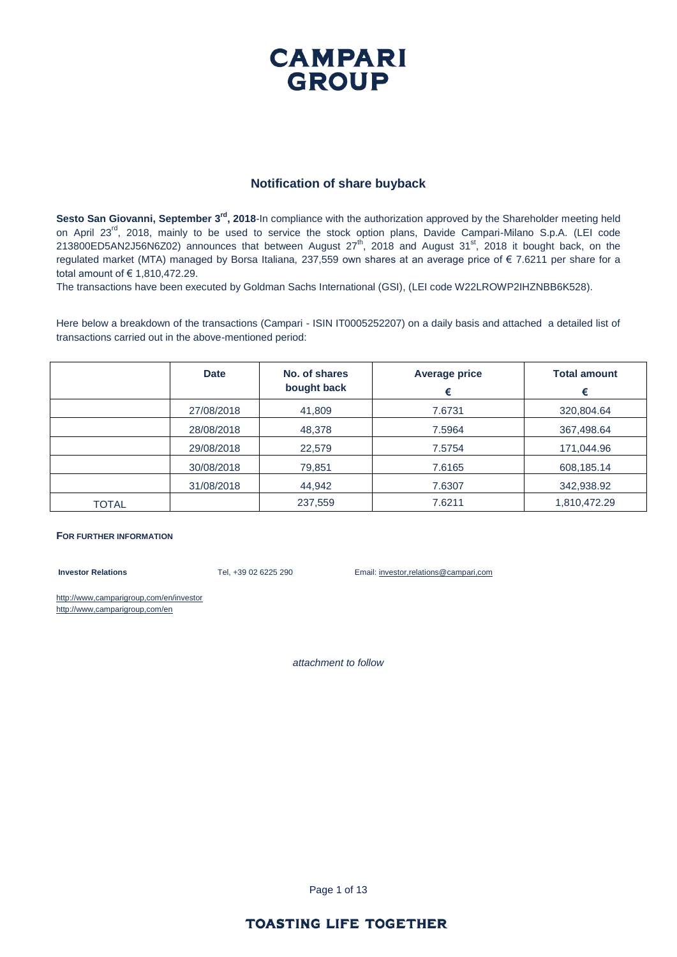#### **CAMPARI GROUP**

#### **Notification of share buyback**

Sesto San Giovanni, September 3<sup>rd</sup>, 2018-In compliance with the authorization approved by the Shareholder meeting held on April 23<sup>rd</sup>, 2018, mainly to be used to service the stock option plans, Davide Campari-Milano S.p.A. (LEI code 213800ED5AN2J56N6Z02) announces that between August  $27<sup>th</sup>$ , 2018 and August 31<sup>st</sup>, 2018 it bought back, on the regulated market (MTA) managed by Borsa Italiana, 237,559 own shares at an average price of € 7.6211 per share for a total amount of € 1,810,472.29.

The transactions have been executed by Goldman Sachs International (GSI), (LEI code W22LROWP2IHZNBB6K528).

Here below a breakdown of the transactions (Campari - ISIN IT0005252207) on a daily basis and attached a detailed list of transactions carried out in the above-mentioned period:

|              | <b>Date</b> | No. of shares<br>bought back | <b>Average price</b><br>€ | <b>Total amount</b><br>€ |
|--------------|-------------|------------------------------|---------------------------|--------------------------|
|              | 27/08/2018  | 41,809                       | 7.6731                    | 320,804.64               |
|              | 28/08/2018  | 48,378                       | 7.5964                    | 367,498.64               |
|              | 29/08/2018  | 22,579                       | 7.5754                    | 171,044.96               |
|              | 30/08/2018  | 79,851                       | 7.6165                    | 608,185.14               |
|              | 31/08/2018  | 44,942                       | 7.6307                    | 342,938.92               |
| <b>TOTAL</b> |             | 237,559                      | 7.6211                    | 1,810,472.29             |

#### **FOR FURTHER INFORMATION**

**Investor Relations** Tel, +39 02 6225 290 Email: investor,relations@campari,com

http://www,camparigroup,com/en/investor http://www,camparigroup,com/en

*attachment to follow*

Page 1 of 13

#### **TOASTING LIFE TOGETHER**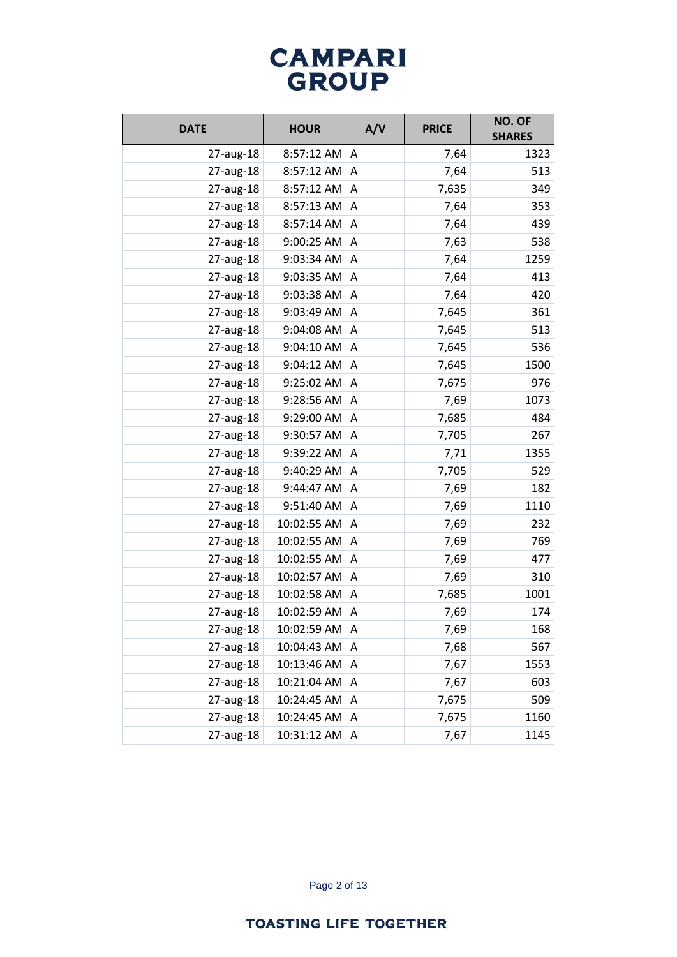| <b>DATE</b> | <b>HOUR</b> | A/V          | <b>PRICE</b> | NO. OF<br><b>SHARES</b> |
|-------------|-------------|--------------|--------------|-------------------------|
| 27-aug-18   | 8:57:12 AM  | A            | 7,64         | 1323                    |
| 27-aug-18   | 8:57:12 AM  | A            | 7,64         | 513                     |
| 27-aug-18   | 8:57:12 AM  | Α            | 7,635        | 349                     |
| 27-aug-18   | 8:57:13 AM  | A            | 7,64         | 353                     |
| 27-aug-18   | 8:57:14 AM  | A            | 7,64         | 439                     |
| 27-aug-18   | 9:00:25 AM  | A            | 7,63         | 538                     |
| 27-aug-18   | 9:03:34 AM  | Α            | 7,64         | 1259                    |
| 27-aug-18   | 9:03:35 AM  | A            | 7,64         | 413                     |
| 27-aug-18   | 9:03:38 AM  | A            | 7,64         | 420                     |
| 27-aug-18   | 9:03:49 AM  | A            | 7,645        | 361                     |
| 27-aug-18   | 9:04:08 AM  | A            | 7,645        | 513                     |
| 27-aug-18   | 9:04:10 AM  | Α            | 7,645        | 536                     |
| 27-aug-18   | 9:04:12 AM  | A            | 7,645        | 1500                    |
| 27-aug-18   | 9:25:02 AM  | Α            | 7,675        | 976                     |
| 27-aug-18   | 9:28:56 AM  | A            | 7,69         | 1073                    |
| 27-aug-18   | 9:29:00 AM  | A            | 7,685        | 484                     |
| 27-aug-18   | 9:30:57 AM  | A            | 7,705        | 267                     |
| 27-aug-18   | 9:39:22 AM  | Α            | 7,71         | 1355                    |
| 27-aug-18   | 9:40:29 AM  | Α            | 7,705        | 529                     |
| 27-aug-18   | 9:44:47 AM  | A            | 7,69         | 182                     |
| 27-aug-18   | 9:51:40 AM  | Α            | 7,69         | 1110                    |
| 27-aug-18   | 10:02:55 AM | A            | 7,69         | 232                     |
| 27-aug-18   | 10:02:55 AM | A            | 7,69         | 769                     |
| 27-aug-18   | 10:02:55 AM | A            | 7,69         | 477                     |
| 27-aug-18   | 10:02:57 AM | A            | 7,69         | 310                     |
| 27-aug-18   | 10:02:58 AM | A            | 7,685        | 1001                    |
| 27-aug-18   | 10:02:59 AM | Α            | 7,69         | 174                     |
| 27-aug-18   | 10:02:59 AM | A            | 7,69         | 168                     |
| 27-aug-18   | 10:04:43 AM | Α            | 7,68         | 567                     |
| 27-aug-18   | 10:13:46 AM | Α            | 7,67         | 1553                    |
| 27-aug-18   | 10:21:04 AM | A            | 7,67         | 603                     |
| 27-aug-18   | 10:24:45 AM | A            | 7,675        | 509                     |
| 27-aug-18   | 10:24:45 AM | Α            | 7,675        | 1160                    |
| 27-aug-18   | 10:31:12 AM | $\mathsf{A}$ | 7,67         | 1145                    |

Page 2 of 13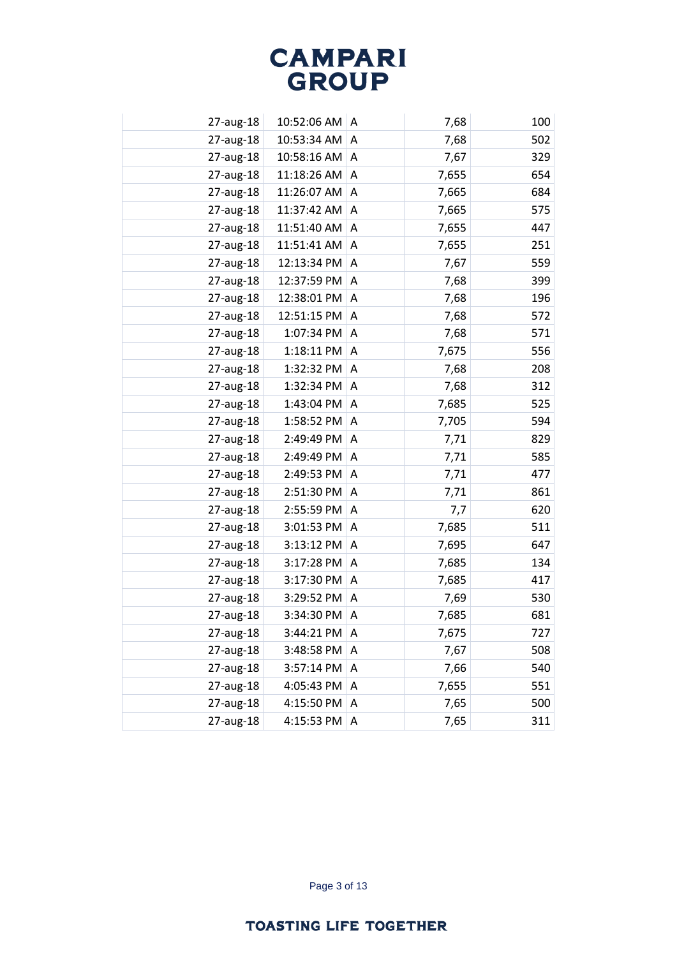| 27-aug-18 | 10:52:06 AM | A | 7,68  | 100 |
|-----------|-------------|---|-------|-----|
| 27-aug-18 | 10:53:34 AM | A | 7,68  | 502 |
| 27-aug-18 | 10:58:16 AM | A | 7,67  | 329 |
| 27-aug-18 | 11:18:26 AM | A | 7,655 | 654 |
| 27-aug-18 | 11:26:07 AM | A | 7,665 | 684 |
| 27-aug-18 | 11:37:42 AM | A | 7,665 | 575 |
| 27-aug-18 | 11:51:40 AM | A | 7,655 | 447 |
| 27-aug-18 | 11:51:41 AM | A | 7,655 | 251 |
| 27-aug-18 | 12:13:34 PM | A | 7,67  | 559 |
| 27-aug-18 | 12:37:59 PM | A | 7,68  | 399 |
| 27-aug-18 | 12:38:01 PM | Α | 7,68  | 196 |
| 27-aug-18 | 12:51:15 PM | A | 7,68  | 572 |
| 27-aug-18 | 1:07:34 PM  | A | 7,68  | 571 |
| 27-aug-18 | 1:18:11 PM  | A | 7,675 | 556 |
| 27-aug-18 | 1:32:32 PM  | A | 7,68  | 208 |
| 27-aug-18 | 1:32:34 PM  | A | 7,68  | 312 |
| 27-aug-18 | 1:43:04 PM  | A | 7,685 | 525 |
| 27-aug-18 | 1:58:52 PM  | A | 7,705 | 594 |
| 27-aug-18 | 2:49:49 PM  | A | 7,71  | 829 |
| 27-aug-18 | 2:49:49 PM  | A | 7,71  | 585 |
| 27-aug-18 | 2:49:53 PM  | A | 7,71  | 477 |
| 27-aug-18 | 2:51:30 PM  | A | 7,71  | 861 |
| 27-aug-18 | 2:55:59 PM  | Α | 7,7   | 620 |
| 27-aug-18 | 3:01:53 PM  | A | 7,685 | 511 |
| 27-aug-18 | 3:13:12 PM  | Α | 7,695 | 647 |
| 27-aug-18 | 3:17:28 PM  | A | 7,685 | 134 |
| 27-aug-18 | 3:17:30 PM  | A | 7,685 | 417 |
| 27-aug-18 | 3:29:52 PM  | Α | 7,69  | 530 |
| 27-aug-18 | 3:34:30 PM  | A | 7,685 | 681 |
| 27-aug-18 | 3:44:21 PM  | Α | 7,675 | 727 |
| 27-aug-18 | 3:48:58 PM  | A | 7,67  | 508 |
| 27-aug-18 | 3:57:14 PM  | A | 7,66  | 540 |
| 27-aug-18 | 4:05:43 PM  | Α | 7,655 | 551 |
| 27-aug-18 | 4:15:50 PM  | A | 7,65  | 500 |
| 27-aug-18 | 4:15:53 PM  | Α | 7,65  | 311 |
|           |             |   |       |     |

Page 3 of 13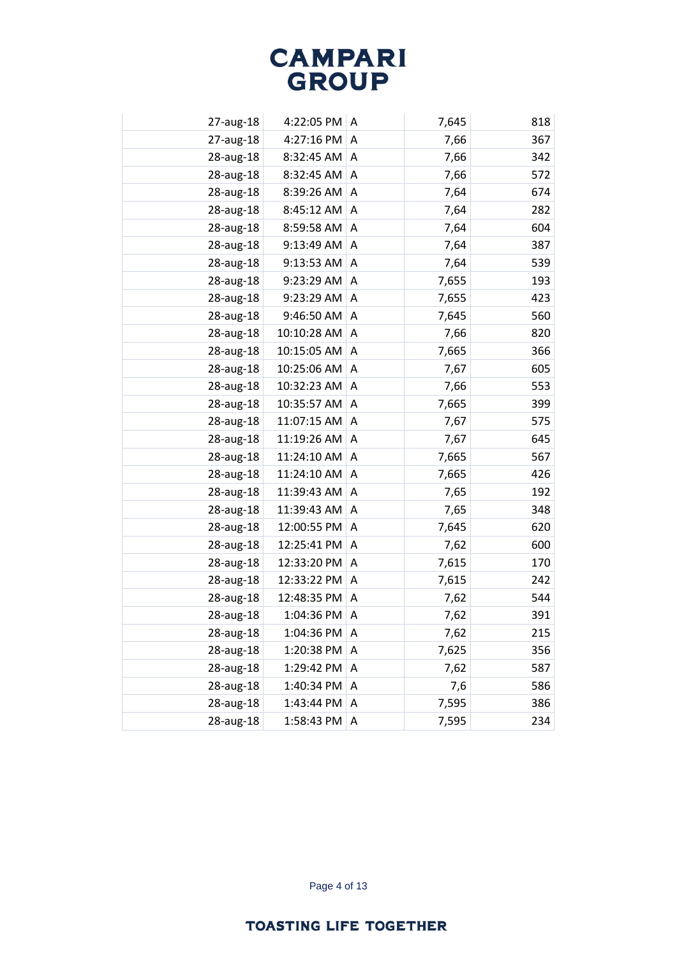| 27-aug-18 | 4:22:05 PM  | A              | 7,645 | 818 |
|-----------|-------------|----------------|-------|-----|
| 27-aug-18 | 4:27:16 PM  | A              | 7,66  | 367 |
| 28-aug-18 | 8:32:45 AM  | $\overline{A}$ | 7,66  | 342 |
| 28-aug-18 | 8:32:45 AM  | Α              | 7,66  | 572 |
| 28-aug-18 | 8:39:26 AM  | A              | 7,64  | 674 |
| 28-aug-18 | 8:45:12 AM  | A              | 7,64  | 282 |
| 28-aug-18 | 8:59:58 AM  | A              | 7,64  | 604 |
| 28-aug-18 | 9:13:49 AM  | A              | 7,64  | 387 |
| 28-aug-18 | 9:13:53 AM  | A              | 7,64  | 539 |
| 28-aug-18 | 9:23:29 AM  | A              | 7,655 | 193 |
| 28-aug-18 | 9:23:29 AM  | Α              | 7,655 | 423 |
| 28-aug-18 | 9:46:50 AM  | A              | 7,645 | 560 |
| 28-aug-18 | 10:10:28 AM | A              | 7,66  | 820 |
| 28-aug-18 | 10:15:05 AM | A              | 7,665 | 366 |
| 28-aug-18 | 10:25:06 AM | A              | 7,67  | 605 |
| 28-aug-18 | 10:32:23 AM | Α              | 7,66  | 553 |
| 28-aug-18 | 10:35:57 AM | A              | 7,665 | 399 |
| 28-aug-18 | 11:07:15 AM | Α              | 7,67  | 575 |
| 28-aug-18 | 11:19:26 AM | A              | 7,67  | 645 |
| 28-aug-18 | 11:24:10 AM | A              | 7,665 | 567 |
| 28-aug-18 | 11:24:10 AM | A              | 7,665 | 426 |
| 28-aug-18 | 11:39:43 AM | A              | 7,65  | 192 |
| 28-aug-18 | 11:39:43 AM | Α              | 7,65  | 348 |
| 28-aug-18 | 12:00:55 PM | A              | 7,645 | 620 |
| 28-aug-18 | 12:25:41 PM | A              | 7,62  | 600 |
| 28-aug-18 | 12:33:20 PM | A              | 7,615 | 170 |
| 28-aug-18 | 12:33:22 PM | A              | 7,615 | 242 |
| 28-aug-18 | 12:48:35 PM | A              | 7,62  | 544 |
| 28-aug-18 | 1:04:36 PM  | Α              | 7,62  | 391 |
| 28-aug-18 | 1:04:36 PM  | Α              | 7,62  | 215 |
| 28-aug-18 | 1:20:38 PM  | Α              | 7,625 | 356 |
| 28-aug-18 | 1:29:42 PM  | A              | 7,62  | 587 |
| 28-aug-18 | 1:40:34 PM  | Α              | 7,6   | 586 |
| 28-aug-18 | 1:43:44 PM  | Α              | 7,595 | 386 |
| 28-aug-18 | 1:58:43 PM  | Α              | 7,595 | 234 |
|           |             |                |       |     |

Page 4 of 13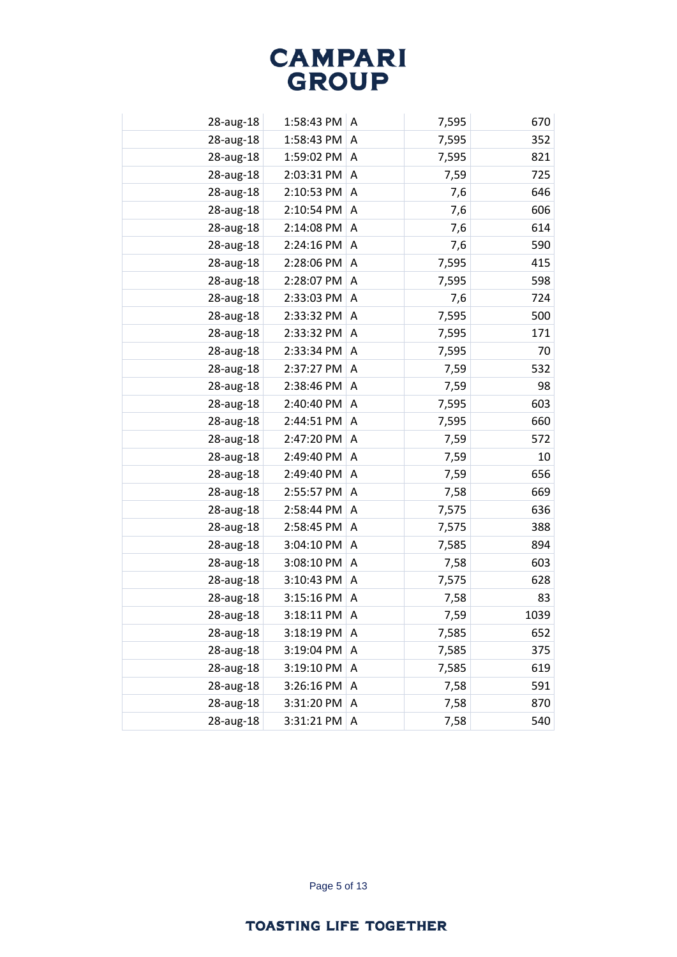| 28-aug-18 | 1:58:43 PM | A | 7,595 | 670  |
|-----------|------------|---|-------|------|
| 28-aug-18 | 1:58:43 PM | A | 7,595 | 352  |
| 28-aug-18 | 1:59:02 PM | A | 7,595 | 821  |
| 28-aug-18 | 2:03:31 PM | Α | 7,59  | 725  |
| 28-aug-18 | 2:10:53 PM | A | 7,6   | 646  |
| 28-aug-18 | 2:10:54 PM | A | 7,6   | 606  |
| 28-aug-18 | 2:14:08 PM | A | 7,6   | 614  |
| 28-aug-18 | 2:24:16 PM | Α | 7,6   | 590  |
| 28-aug-18 | 2:28:06 PM | A | 7,595 | 415  |
| 28-aug-18 | 2:28:07 PM | A | 7,595 | 598  |
| 28-aug-18 | 2:33:03 PM | Α | 7,6   | 724  |
| 28-aug-18 | 2:33:32 PM | A | 7,595 | 500  |
| 28-aug-18 | 2:33:32 PM | A | 7,595 | 171  |
| 28-aug-18 | 2:33:34 PM | A | 7,595 | 70   |
| 28-aug-18 | 2:37:27 PM | A | 7,59  | 532  |
| 28-aug-18 | 2:38:46 PM | Α | 7,59  | 98   |
| 28-aug-18 | 2:40:40 PM | A | 7,595 | 603  |
| 28-aug-18 | 2:44:51 PM | A | 7,595 | 660  |
| 28-aug-18 | 2:47:20 PM | A | 7,59  | 572  |
| 28-aug-18 | 2:49:40 PM | A | 7,59  | 10   |
| 28-aug-18 | 2:49:40 PM | A | 7,59  | 656  |
| 28-aug-18 | 2:55:57 PM | A | 7,58  | 669  |
| 28-aug-18 | 2:58:44 PM | Α | 7,575 | 636  |
| 28-aug-18 | 2:58:45 PM | A | 7,575 | 388  |
| 28-aug-18 | 3:04:10 PM | A | 7,585 | 894  |
| 28-aug-18 | 3:08:10 PM | A | 7,58  | 603  |
| 28-aug-18 | 3:10:43 PM | A | 7,575 | 628  |
| 28-aug-18 | 3:15:16 PM | Α | 7,58  | 83   |
| 28-aug-18 | 3:18:11 PM | A | 7,59  | 1039 |
| 28-aug-18 | 3:18:19 PM | A | 7,585 | 652  |
| 28-aug-18 | 3:19:04 PM | Α | 7,585 | 375  |
| 28-aug-18 | 3:19:10 PM | A | 7,585 | 619  |
| 28-aug-18 | 3:26:16 PM | Α | 7,58  | 591  |
| 28-aug-18 | 3:31:20 PM | A | 7,58  | 870  |
| 28-aug-18 | 3:31:21 PM | A | 7,58  | 540  |
|           |            |   |       |      |

Page 5 of 13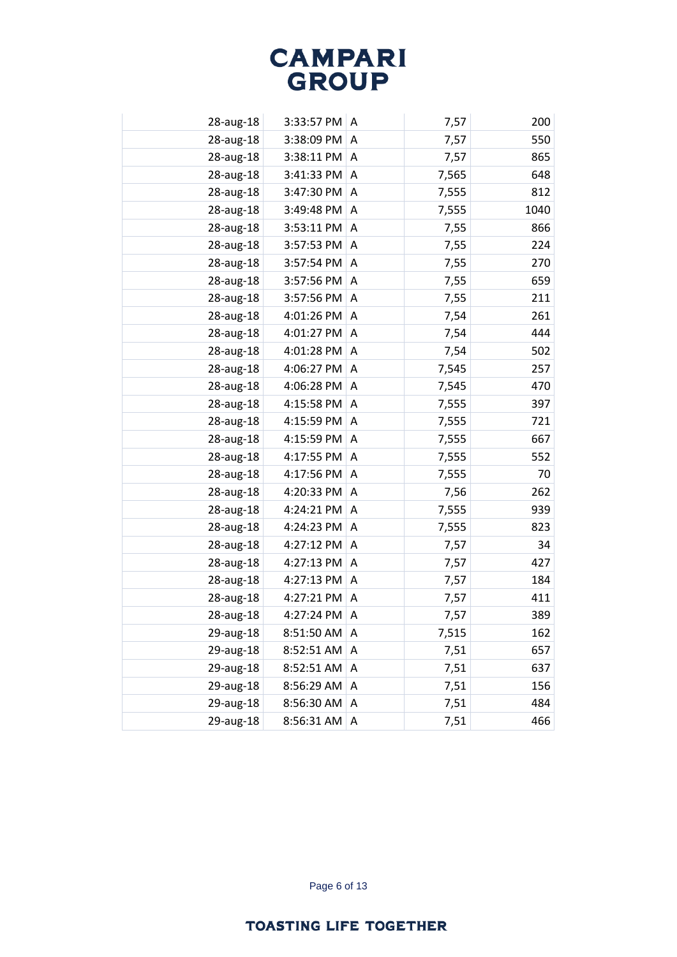| 28-aug-18 | 3:33:57 PM | A | 7,57  | 200  |
|-----------|------------|---|-------|------|
| 28-aug-18 | 3:38:09 PM | A | 7,57  | 550  |
| 28-aug-18 | 3:38:11 PM | A | 7,57  | 865  |
| 28-aug-18 | 3:41:33 PM | A | 7,565 | 648  |
| 28-aug-18 | 3:47:30 PM | A | 7,555 | 812  |
| 28-aug-18 | 3:49:48 PM | A | 7,555 | 1040 |
| 28-aug-18 | 3:53:11 PM | A | 7,55  | 866  |
| 28-aug-18 | 3:57:53 PM | A | 7,55  | 224  |
| 28-aug-18 | 3:57:54 PM | Α | 7,55  | 270  |
| 28-aug-18 | 3:57:56 PM | A | 7,55  | 659  |
| 28-aug-18 | 3:57:56 PM | A | 7,55  | 211  |
| 28-aug-18 | 4:01:26 PM | A | 7,54  | 261  |
| 28-aug-18 | 4:01:27 PM | A | 7,54  | 444  |
| 28-aug-18 | 4:01:28 PM | A | 7,54  | 502  |
| 28-aug-18 | 4:06:27 PM | A | 7,545 | 257  |
| 28-aug-18 | 4:06:28 PM | Α | 7,545 | 470  |
| 28-aug-18 | 4:15:58 PM | A | 7,555 | 397  |
| 28-aug-18 | 4:15:59 PM | A | 7,555 | 721  |
| 28-aug-18 | 4:15:59 PM | A | 7,555 | 667  |
| 28-aug-18 | 4:17:55 PM | A | 7,555 | 552  |
| 28-aug-18 | 4:17:56 PM | Α | 7,555 | 70   |
| 28-aug-18 | 4:20:33 PM | Α | 7,56  | 262  |
| 28-aug-18 | 4:24:21 PM | A | 7,555 | 939  |
| 28-aug-18 | 4:24:23 PM | A | 7,555 | 823  |
| 28-aug-18 | 4:27:12 PM | Α | 7,57  | 34   |
| 28-aug-18 | 4:27:13 PM | A | 7,57  | 427  |
| 28-aug-18 | 4:27:13 PM | A | 7,57  | 184  |
| 28-aug-18 | 4:27:21 PM | Α | 7,57  | 411  |
| 28-aug-18 | 4:27:24 PM | A | 7,57  | 389  |
| 29-aug-18 | 8:51:50 AM | A | 7,515 | 162  |
| 29-aug-18 | 8:52:51 AM | A | 7,51  | 657  |
| 29-aug-18 | 8:52:51 AM | Α | 7,51  | 637  |
| 29-aug-18 | 8:56:29 AM | A | 7,51  | 156  |
| 29-aug-18 | 8:56:30 AM | A | 7,51  | 484  |
| 29-aug-18 | 8:56:31 AM | A | 7,51  | 466  |

Page 6 of 13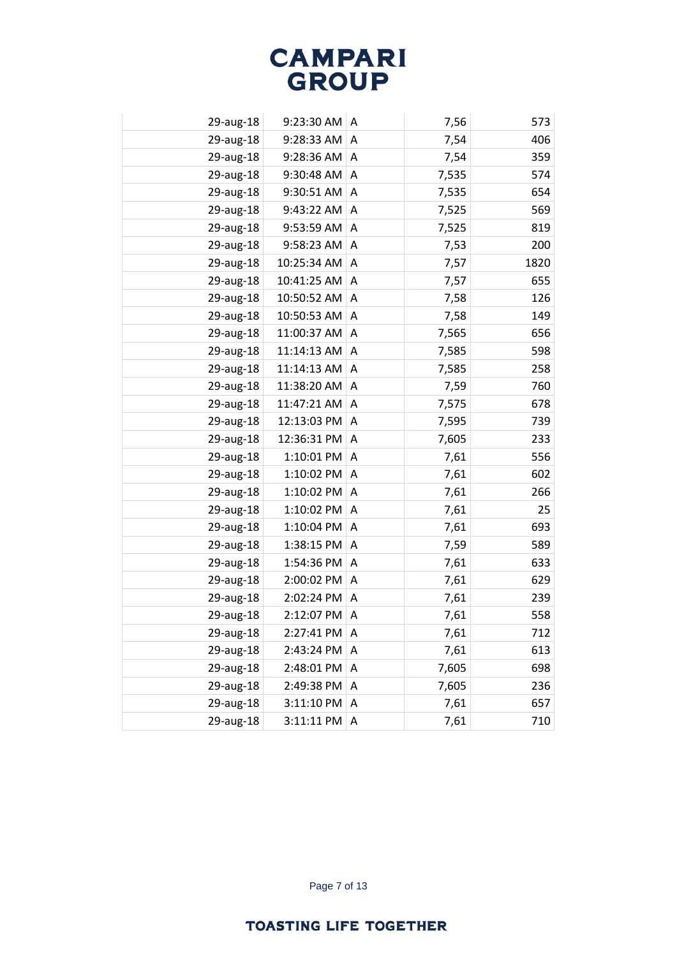| 29-aug-18 | 9:23:30 AM  | A | 7,56  | 573  |
|-----------|-------------|---|-------|------|
| 29-aug-18 | 9:28:33 AM  | A | 7,54  | 406  |
| 29-aug-18 | 9:28:36 AM  | A | 7,54  | 359  |
| 29-aug-18 | 9:30:48 AM  | Α | 7,535 | 574  |
| 29-aug-18 | 9:30:51 AM  | A | 7,535 | 654  |
| 29-aug-18 | 9:43:22 AM  | A | 7,525 | 569  |
| 29-aug-18 | 9:53:59 AM  | A | 7,525 | 819  |
| 29-aug-18 | 9:58:23 AM  | A | 7,53  | 200  |
| 29-aug-18 | 10:25:34 AM | A | 7,57  | 1820 |
| 29-aug-18 | 10:41:25 AM | A | 7,57  | 655  |
| 29-aug-18 | 10:50:52 AM | Α | 7,58  | 126  |
| 29-aug-18 | 10:50:53 AM | A | 7,58  | 149  |
| 29-aug-18 | 11:00:37 AM | A | 7,565 | 656  |
| 29-aug-18 | 11:14:13 AM | A | 7,585 | 598  |
| 29-aug-18 | 11:14:13 AM | A | 7,585 | 258  |
| 29-aug-18 | 11:38:20 AM | Α | 7,59  | 760  |
| 29-aug-18 | 11:47:21 AM | A | 7,575 | 678  |
| 29-aug-18 | 12:13:03 PM | A | 7,595 | 739  |
| 29-aug-18 | 12:36:31 PM | A | 7,605 | 233  |
| 29-aug-18 | 1:10:01 PM  | A | 7,61  | 556  |
| 29-aug-18 | 1:10:02 PM  | A | 7,61  | 602  |
| 29-aug-18 | 1:10:02 PM  | A | 7,61  | 266  |
| 29-aug-18 | 1:10:02 PM  | A | 7,61  | 25   |
| 29-aug-18 | 1:10:04 PM  | A | 7,61  | 693  |
| 29-aug-18 | 1:38:15 PM  | A | 7,59  | 589  |
| 29-aug-18 | 1:54:36 PM  | A | 7,61  | 633  |
| 29-aug-18 | 2:00:02 PM  | A | 7,61  | 629  |
| 29-aug-18 | 2:02:24 PM  | Α | 7,61  | 239  |
| 29-aug-18 | 2:12:07 PM  | A | 7,61  | 558  |
| 29-aug-18 | 2:27:41 PM  | Α | 7,61  | 712  |
| 29-aug-18 | 2:43:24 PM  | A | 7,61  | 613  |
| 29-aug-18 | 2:48:01 PM  | A | 7,605 | 698  |
| 29-aug-18 | 2:49:38 PM  | Α | 7,605 | 236  |
| 29-aug-18 | 3:11:10 PM  | Α | 7,61  | 657  |
| 29-aug-18 | 3:11:11 PM  | Α | 7,61  | 710  |

Page 7 of 13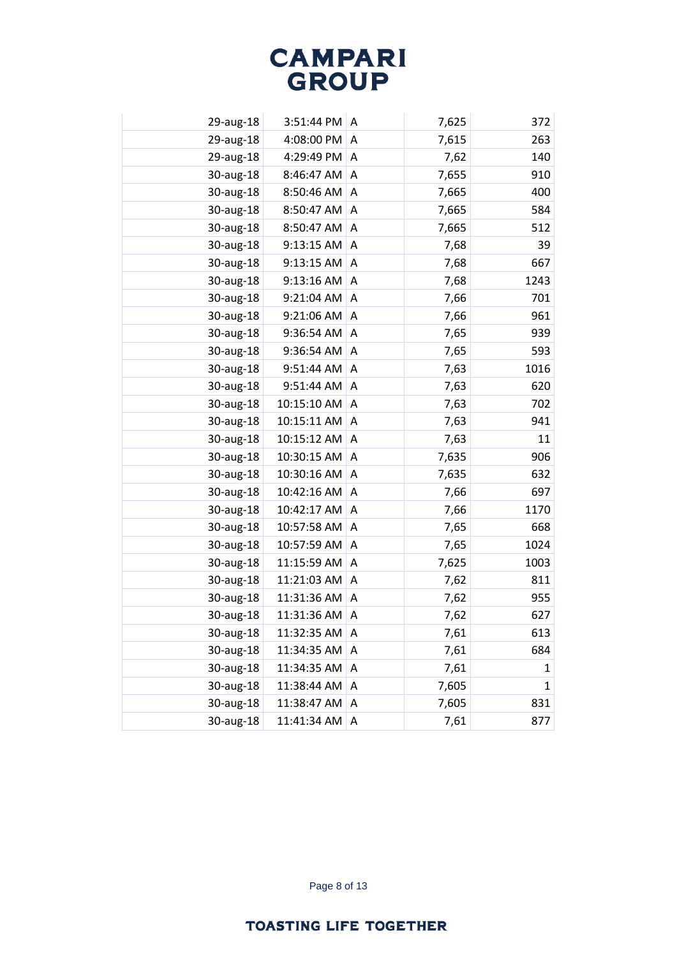| 29-aug-18 | 3:51:44 PM  | A | 7,625 | 372  |
|-----------|-------------|---|-------|------|
| 29-aug-18 | 4:08:00 PM  | A | 7,615 | 263  |
| 29-aug-18 | 4:29:49 PM  | A | 7,62  | 140  |
| 30-aug-18 | 8:46:47 AM  | Α | 7,655 | 910  |
| 30-aug-18 | 8:50:46 AM  | A | 7,665 | 400  |
| 30-aug-18 | 8:50:47 AM  | A | 7,665 | 584  |
| 30-aug-18 | 8:50:47 AM  | A | 7,665 | 512  |
| 30-aug-18 | 9:13:15 AM  | A | 7,68  | 39   |
| 30-aug-18 | 9:13:15 AM  | Α | 7,68  | 667  |
| 30-aug-18 | 9:13:16 AM  | A | 7,68  | 1243 |
| 30-aug-18 | 9:21:04 AM  | Α | 7,66  | 701  |
| 30-aug-18 | 9:21:06 AM  | A | 7,66  | 961  |
| 30-aug-18 | 9:36:54 AM  | A | 7,65  | 939  |
| 30-aug-18 | 9:36:54 AM  | A | 7,65  | 593  |
| 30-aug-18 | 9:51:44 AM  | Α | 7,63  | 1016 |
| 30-aug-18 | 9:51:44 AM  | Α | 7,63  | 620  |
| 30-aug-18 | 10:15:10 AM | A | 7,63  | 702  |
| 30-aug-18 | 10:15:11 AM | Α | 7,63  | 941  |
| 30-aug-18 | 10:15:12 AM | A | 7,63  | 11   |
| 30-aug-18 | 10:30:15 AM | A | 7,635 | 906  |
| 30-aug-18 | 10:30:16 AM | Α | 7,635 | 632  |
| 30-aug-18 | 10:42:16 AM | A | 7,66  | 697  |
| 30-aug-18 | 10:42:17 AM | A | 7,66  | 1170 |
| 30-aug-18 | 10:57:58 AM | Α | 7,65  | 668  |
| 30-aug-18 | 10:57:59 AM | A | 7,65  | 1024 |
| 30-aug-18 | 11:15:59 AM | Α | 7,625 | 1003 |
| 30-aug-18 | 11:21:03 AM | A | 7,62  | 811  |
| 30-aug-18 | 11:31:36 AM | Α | 7,62  | 955  |
| 30-aug-18 | 11:31:36 AM | Α | 7,62  | 627  |
| 30-aug-18 | 11:32:35 AM | Α | 7,61  | 613  |
| 30-aug-18 | 11:34:35 AM | Α | 7,61  | 684  |
| 30-aug-18 | 11:34:35 AM | Α | 7,61  | 1    |
| 30-aug-18 | 11:38:44 AM | Α | 7,605 | 1    |
| 30-aug-18 | 11:38:47 AM | Α | 7,605 | 831  |
| 30-aug-18 | 11:41:34 AM | Α | 7,61  | 877  |

Page 8 of 13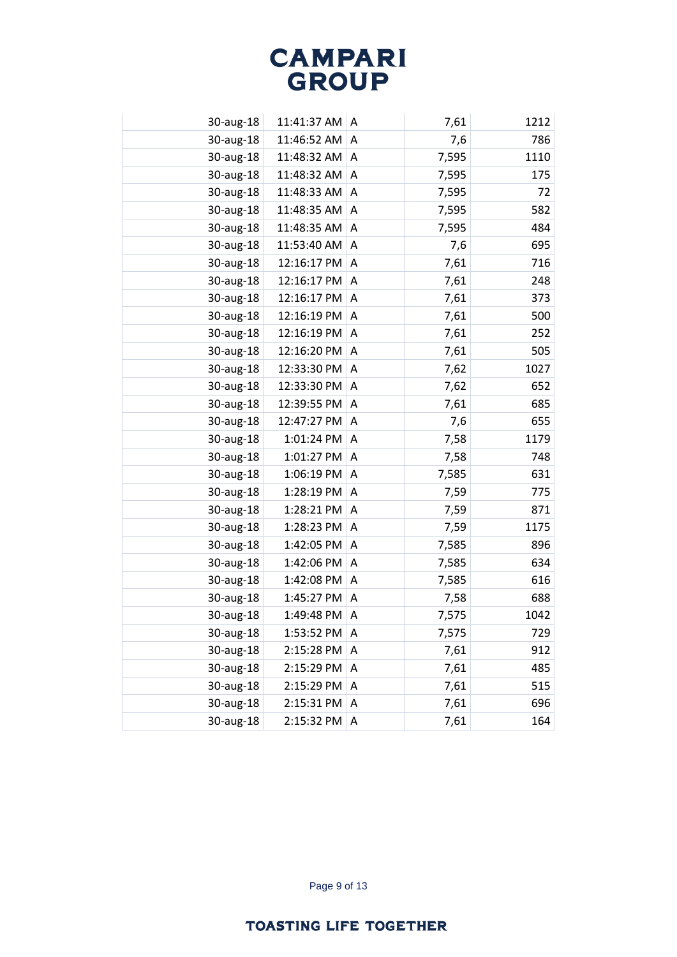| 30-aug-18 | 11:41:37 AM | A | 7,61  | 1212 |
|-----------|-------------|---|-------|------|
| 30-aug-18 | 11:46:52 AM | A | 7,6   | 786  |
| 30-aug-18 | 11:48:32 AM | A | 7,595 | 1110 |
| 30-aug-18 | 11:48:32 AM | Α | 7,595 | 175  |
| 30-aug-18 | 11:48:33 AM | A | 7,595 | 72   |
| 30-aug-18 | 11:48:35 AM | A | 7,595 | 582  |
| 30-aug-18 | 11:48:35 AM | A | 7,595 | 484  |
| 30-aug-18 | 11:53:40 AM | A | 7,6   | 695  |
| 30-aug-18 | 12:16:17 PM | A | 7,61  | 716  |
| 30-aug-18 | 12:16:17 PM | A | 7,61  | 248  |
| 30-aug-18 | 12:16:17 PM | Α | 7,61  | 373  |
| 30-aug-18 | 12:16:19 PM | A | 7,61  | 500  |
| 30-aug-18 | 12:16:19 PM | A | 7,61  | 252  |
| 30-aug-18 | 12:16:20 PM | A | 7,61  | 505  |
| 30-aug-18 | 12:33:30 PM | A | 7,62  | 1027 |
| 30-aug-18 | 12:33:30 PM | Α | 7,62  | 652  |
| 30-aug-18 | 12:39:55 PM | A | 7,61  | 685  |
| 30-aug-18 | 12:47:27 PM | Α | 7,6   | 655  |
| 30-aug-18 | 1:01:24 PM  | A | 7,58  | 1179 |
| 30-aug-18 | 1:01:27 PM  | A | 7,58  | 748  |
| 30-aug-18 | 1:06:19 PM  | Α | 7,585 | 631  |
| 30-aug-18 | 1:28:19 PM  | A | 7,59  | 775  |
| 30-aug-18 | 1:28:21 PM  | A | 7,59  | 871  |
| 30-aug-18 | 1:28:23 PM  | A | 7,59  | 1175 |
| 30-aug-18 | 1:42:05 PM  | Α | 7,585 | 896  |
| 30-aug-18 | 1:42:06 PM  | A | 7,585 | 634  |
| 30-aug-18 | 1:42:08 PM  | A | 7,585 | 616  |
| 30-aug-18 | 1:45:27 PM  | Α | 7,58  | 688  |
| 30-aug-18 | 1:49:48 PM  | A | 7,575 | 1042 |
| 30-aug-18 | 1:53:52 PM  | Α | 7,575 | 729  |
| 30-aug-18 | 2:15:28 PM  | Α | 7,61  | 912  |
| 30-aug-18 | 2:15:29 PM  | A | 7,61  | 485  |
| 30-aug-18 | 2:15:29 PM  | Α | 7,61  | 515  |
| 30-aug-18 | 2:15:31 PM  | Α | 7,61  | 696  |
| 30-aug-18 | 2:15:32 PM  | Α | 7,61  | 164  |
|           |             |   |       |      |

Page 9 of 13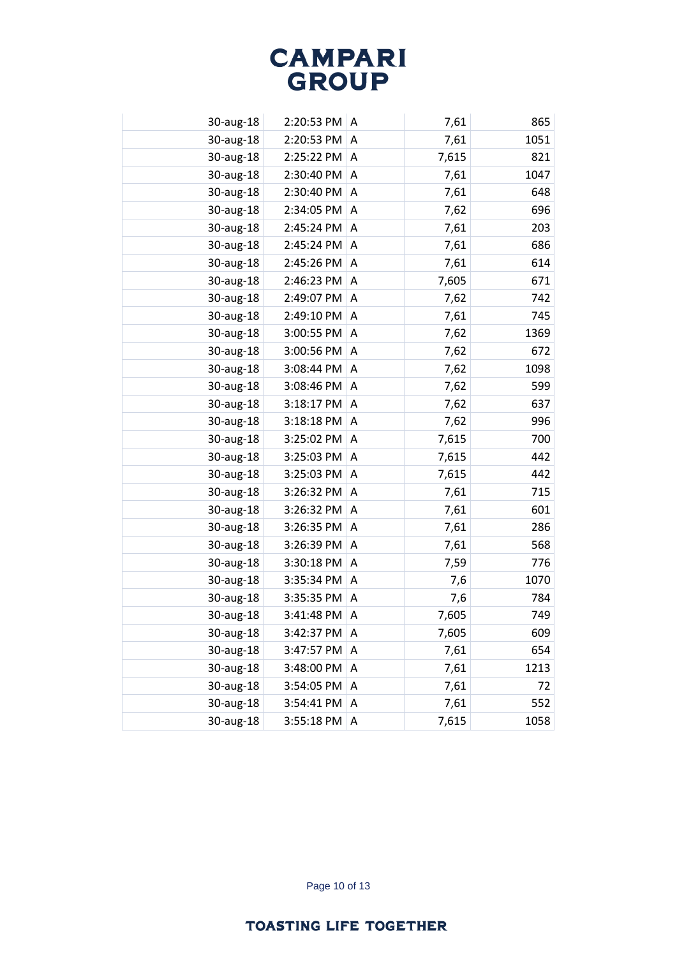| 30-aug-18 | 2:20:53 PM | A | 7,61  | 865  |
|-----------|------------|---|-------|------|
| 30-aug-18 | 2:20:53 PM | A | 7,61  | 1051 |
| 30-aug-18 | 2:25:22 PM | A | 7,615 | 821  |
| 30-aug-18 | 2:30:40 PM | Α | 7,61  | 1047 |
| 30-aug-18 | 2:30:40 PM | A | 7,61  | 648  |
| 30-aug-18 | 2:34:05 PM | A | 7,62  | 696  |
| 30-aug-18 | 2:45:24 PM | A | 7,61  | 203  |
| 30-aug-18 | 2:45:24 PM | A | 7,61  | 686  |
| 30-aug-18 | 2:45:26 PM | A | 7,61  | 614  |
| 30-aug-18 | 2:46:23 PM | A | 7,605 | 671  |
| 30-aug-18 | 2:49:07 PM | A | 7,62  | 742  |
| 30-aug-18 | 2:49:10 PM | A | 7,61  | 745  |
| 30-aug-18 | 3:00:55 PM | A | 7,62  | 1369 |
| 30-aug-18 | 3:00:56 PM | A | 7,62  | 672  |
| 30-aug-18 | 3:08:44 PM | A | 7,62  | 1098 |
| 30-aug-18 | 3:08:46 PM | Α | 7,62  | 599  |
| 30-aug-18 | 3:18:17 PM | A | 7,62  | 637  |
| 30-aug-18 | 3:18:18 PM | A | 7,62  | 996  |
| 30-aug-18 | 3:25:02 PM | A | 7,615 | 700  |
| 30-aug-18 | 3:25:03 PM | A | 7,615 | 442  |
| 30-aug-18 | 3:25:03 PM | Α | 7,615 | 442  |
| 30-aug-18 | 3:26:32 PM | A | 7,61  | 715  |
| 30-aug-18 | 3:26:32 PM | A | 7,61  | 601  |
| 30-aug-18 | 3:26:35 PM | A | 7,61  | 286  |
| 30-aug-18 | 3:26:39 PM | A | 7,61  | 568  |
| 30-aug-18 | 3:30:18 PM | A | 7,59  | 776  |
| 30-aug-18 | 3:35:34 PM | A | 7,6   | 1070 |
| 30-aug-18 | 3:35:35 PM | Α | 7,6   | 784  |
| 30-aug-18 | 3:41:48 PM | Α | 7,605 | 749  |
| 30-aug-18 | 3:42:37 PM | Α | 7,605 | 609  |
| 30-aug-18 | 3:47:57 PM | A | 7,61  | 654  |
| 30-aug-18 | 3:48:00 PM | A | 7,61  | 1213 |
| 30-aug-18 | 3:54:05 PM | Α | 7,61  | 72   |
| 30-aug-18 | 3:54:41 PM | Α | 7,61  | 552  |
| 30-aug-18 | 3:55:18 PM | Α | 7,615 | 1058 |
|           |            |   |       |      |

Page 10 of 13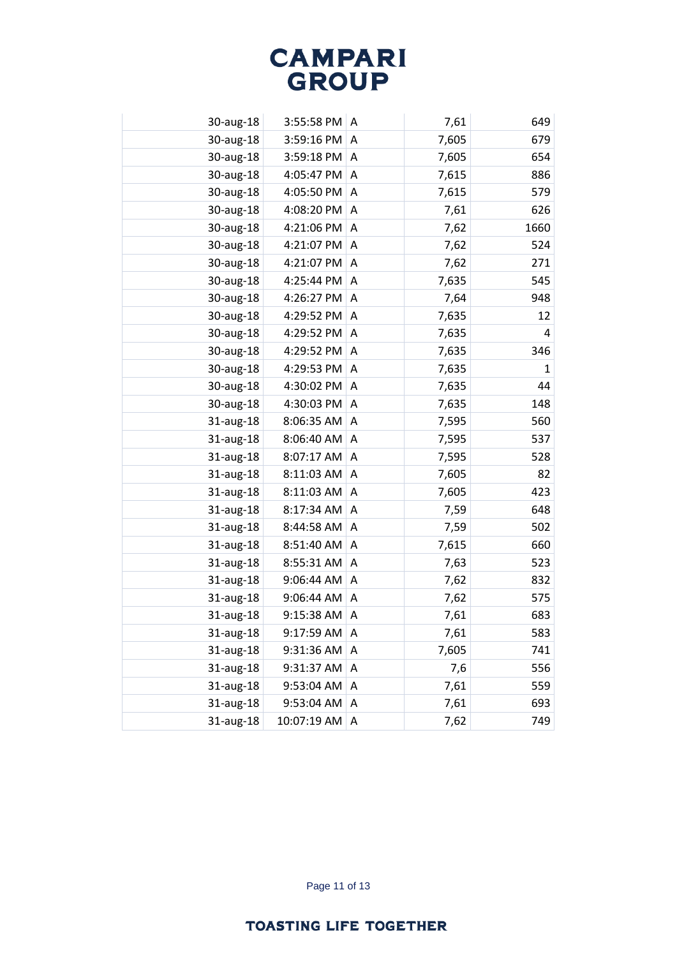| 30-aug-18 | 3:55:58 PM  | A | 7,61  | 649          |
|-----------|-------------|---|-------|--------------|
| 30-aug-18 | 3:59:16 PM  | A | 7,605 | 679          |
| 30-aug-18 | 3:59:18 PM  | A | 7,605 | 654          |
| 30-aug-18 | 4:05:47 PM  | A | 7,615 | 886          |
| 30-aug-18 | 4:05:50 PM  | A | 7,615 | 579          |
| 30-aug-18 | 4:08:20 PM  | A | 7,61  | 626          |
| 30-aug-18 | 4:21:06 PM  | A | 7,62  | 1660         |
| 30-aug-18 | 4:21:07 PM  | A | 7,62  | 524          |
| 30-aug-18 | 4:21:07 PM  | A | 7,62  | 271          |
| 30-aug-18 | 4:25:44 PM  | A | 7,635 | 545          |
| 30-aug-18 | 4:26:27 PM  | Α | 7,64  | 948          |
| 30-aug-18 | 4:29:52 PM  | A | 7,635 | 12           |
| 30-aug-18 | 4:29:52 PM  | A | 7,635 | 4            |
| 30-aug-18 | 4:29:52 PM  | A | 7,635 | 346          |
| 30-aug-18 | 4:29:53 PM  | A | 7,635 | $\mathbf{1}$ |
| 30-aug-18 | 4:30:02 PM  | Α | 7,635 | 44           |
| 30-aug-18 | 4:30:03 PM  | A | 7,635 | 148          |
| 31-aug-18 | 8:06:35 AM  | A | 7,595 | 560          |
| 31-aug-18 | 8:06:40 AM  | A | 7,595 | 537          |
| 31-aug-18 | 8:07:17 AM  | A | 7,595 | 528          |
| 31-aug-18 | 8:11:03 AM  | Α | 7,605 | 82           |
| 31-aug-18 | 8:11:03 AM  | A | 7,605 | 423          |
| 31-aug-18 | 8:17:34 AM  | A | 7,59  | 648          |
| 31-aug-18 | 8:44:58 AM  | A | 7,59  | 502          |
| 31-aug-18 | 8:51:40 AM  | A | 7,615 | 660          |
| 31-aug-18 | 8:55:31 AM  | A | 7,63  | 523          |
| 31-aug-18 | 9:06:44 AM  | A | 7,62  | 832          |
| 31-aug-18 | 9:06:44 AM  | Α | 7,62  | 575          |
| 31-aug-18 | 9:15:38 AM  | A | 7,61  | 683          |
| 31-aug-18 | 9:17:59 AM  | Α | 7,61  | 583          |
| 31-aug-18 | 9:31:36 AM  | A | 7,605 | 741          |
| 31-aug-18 | 9:31:37 AM  | A | 7,6   | 556          |
| 31-aug-18 | 9:53:04 AM  | Α | 7,61  | 559          |
| 31-aug-18 | 9:53:04 AM  | Α | 7,61  | 693          |
| 31-aug-18 | 10:07:19 AM | Α | 7,62  | 749          |
|           |             |   |       |              |

Page 11 of 13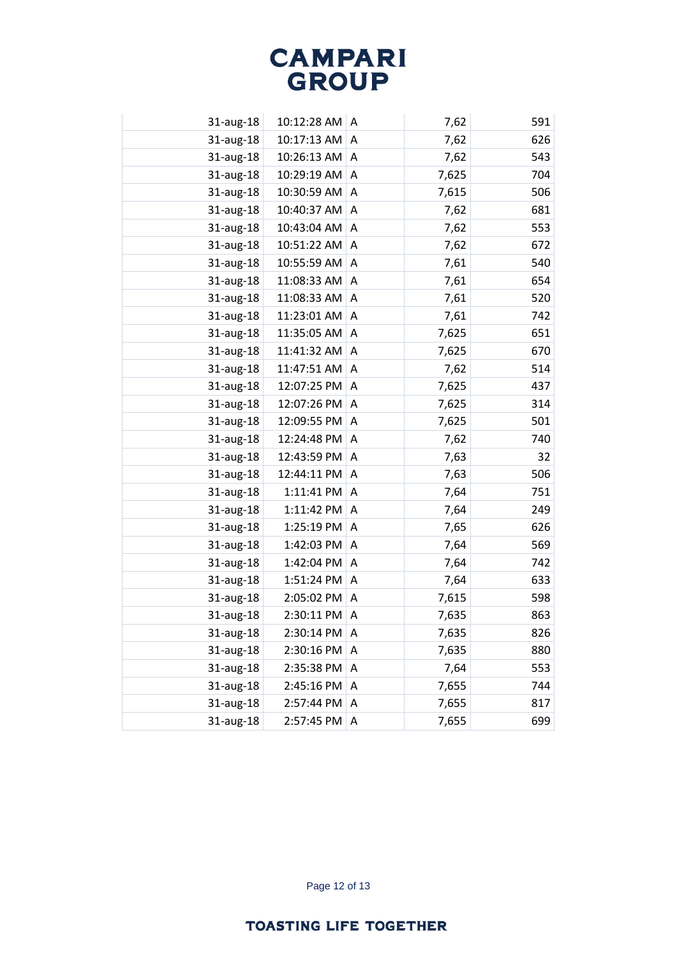| 31-aug-18 | 10:12:28 AM | A | 7,62  | 591 |
|-----------|-------------|---|-------|-----|
| 31-aug-18 | 10:17:13 AM | Α | 7,62  | 626 |
| 31-aug-18 | 10:26:13 AM | A | 7,62  | 543 |
| 31-aug-18 | 10:29:19 AM | Α | 7,625 | 704 |
| 31-aug-18 | 10:30:59 AM | A | 7,615 | 506 |
| 31-aug-18 | 10:40:37 AM | A | 7,62  | 681 |
| 31-aug-18 | 10:43:04 AM | A | 7,62  | 553 |
| 31-aug-18 | 10:51:22 AM | A | 7,62  | 672 |
| 31-aug-18 | 10:55:59 AM | A | 7,61  | 540 |
| 31-aug-18 | 11:08:33 AM | A | 7,61  | 654 |
| 31-aug-18 | 11:08:33 AM | Α | 7,61  | 520 |
| 31-aug-18 | 11:23:01 AM | A | 7,61  | 742 |
| 31-aug-18 | 11:35:05 AM | A | 7,625 | 651 |
| 31-aug-18 | 11:41:32 AM | A | 7,625 | 670 |
| 31-aug-18 | 11:47:51 AM | A | 7,62  | 514 |
| 31-aug-18 | 12:07:25 PM | A | 7,625 | 437 |
| 31-aug-18 | 12:07:26 PM | A | 7,625 | 314 |
| 31-aug-18 | 12:09:55 PM | A | 7,625 | 501 |
| 31-aug-18 | 12:24:48 PM | A | 7,62  | 740 |
| 31-aug-18 | 12:43:59 PM | A | 7,63  | 32  |
| 31-aug-18 | 12:44:11 PM | Α | 7,63  | 506 |
| 31-aug-18 | 1:11:41 PM  | A | 7,64  | 751 |
| 31-aug-18 | 1:11:42 PM  | Α | 7,64  | 249 |
| 31-aug-18 | 1:25:19 PM  | A | 7,65  | 626 |
| 31-aug-18 | 1:42:03 PM  | A | 7,64  | 569 |
| 31-aug-18 | 1:42:04 PM  | Α | 7,64  | 742 |
| 31-aug-18 | 1:51:24 PM  | A | 7,64  | 633 |
| 31-aug-18 | 2:05:02 PM  | Α | 7,615 | 598 |
| 31-aug-18 | 2:30:11 PM  | A | 7,635 | 863 |
| 31-aug-18 | 2:30:14 PM  | Α | 7,635 | 826 |
| 31-aug-18 | 2:30:16 PM  | A | 7,635 | 880 |
| 31-aug-18 | 2:35:38 PM  | Α | 7,64  | 553 |
| 31-aug-18 | 2:45:16 PM  | A | 7,655 | 744 |
| 31-aug-18 | 2:57:44 PM  | A | 7,655 | 817 |
| 31-aug-18 | 2:57:45 PM  | Α | 7,655 | 699 |
|           |             |   |       |     |

Page 12 of 13